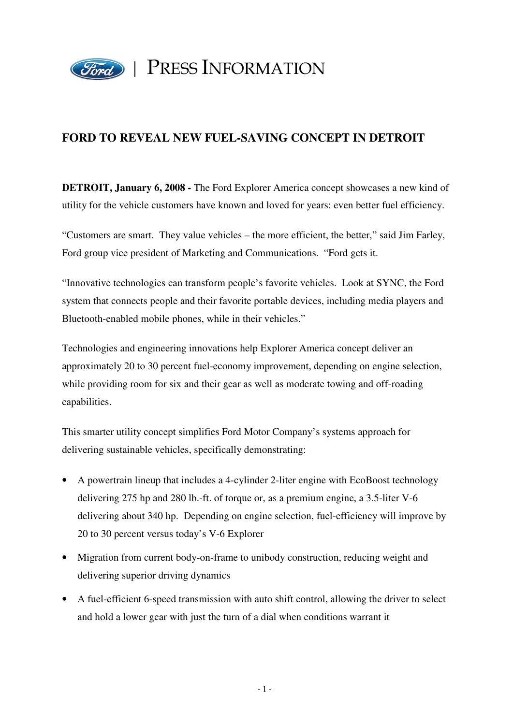

## PRESS INFORMATION

## **FORD TO REVEAL NEW FUEL-SAVING CONCEPT IN DETROIT**

**DETROIT, January 6, 2008 - The Ford Explorer America concept showcases a new kind of** utility for the vehicle customers have known and loved for years: even better fuel efficiency.

"Customers are smart. They value vehicles – the more efficient, the better," said Jim Farley, Ford group vice president of Marketing and Communications. "Ford gets it.

"Innovative technologies can transform people's favorite vehicles. Look at SYNC, the Ford system that connects people and their favorite portable devices, including media players and Bluetooth-enabled mobile phones, while in their vehicles."

Technologies and engineering innovations help Explorer America concept deliver an approximately 20 to 30 percent fuel-economy improvement, depending on engine selection, while providing room for six and their gear as well as moderate towing and off-roading capabilities.

This smarter utility concept simplifies Ford Motor Company's systems approach for delivering sustainable vehicles, specifically demonstrating:

- A powertrain lineup that includes a 4-cylinder 2-liter engine with EcoBoost technology delivering 275 hp and 280 lb.-ft. of torque or, as a premium engine, a 3.5-liter V-6 delivering about 340 hp. Depending on engine selection, fuel-efficiency will improve by 20 to 30 percent versus today's V-6 Explorer
- Migration from current body-on-frame to unibody construction, reducing weight and delivering superior driving dynamics
- A fuel-efficient 6-speed transmission with auto shift control, allowing the driver to select and hold a lower gear with just the turn of a dial when conditions warrant it